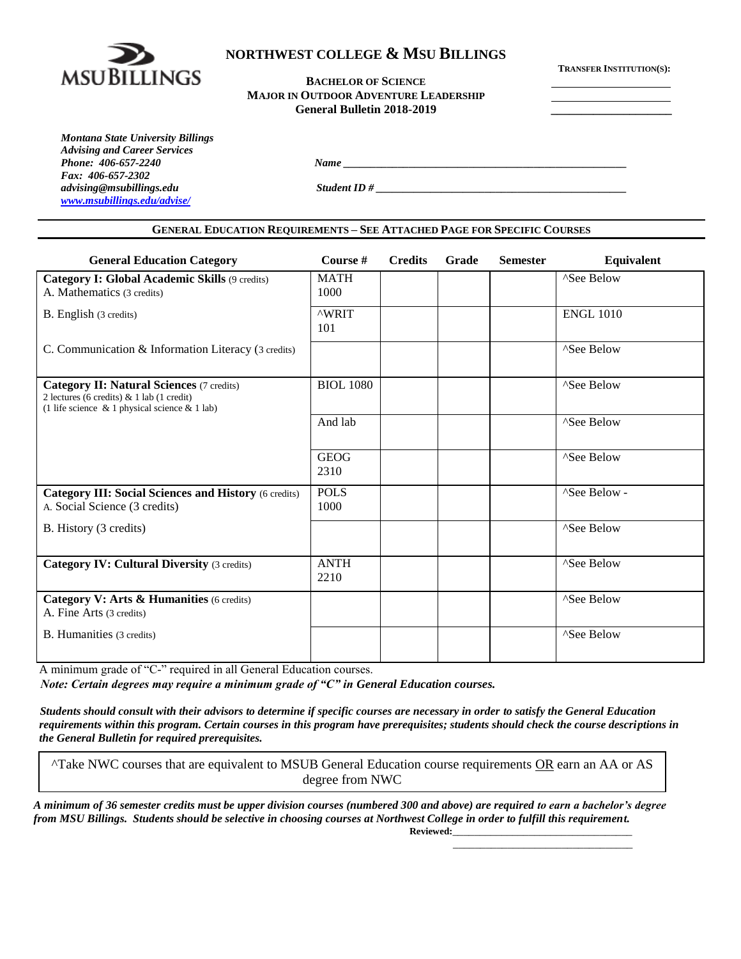

# **NORTHWEST COLLEGE & MSU BILLINGS**

**TRANSFER INSTITUTION(S):**

**BACHELOR OF SCIENCE MAJOR IN OUTDOOR ADVENTURE LEADERSHIP General Bulletin 2018-2019 \_\_\_\_\_\_\_\_\_\_\_\_\_\_\_\_\_\_\_\_**

*Montana State University Billings Advising and Career Services Phone: 406-657-2240 Name \_\_\_\_\_\_\_\_\_\_\_\_\_\_\_\_\_\_\_\_\_\_\_\_\_\_\_\_\_\_\_\_\_\_\_\_\_\_\_\_\_\_\_\_\_\_\_\_\_\_\_\_ Fax: 406-657-2302 advising@msubillings.edu Student ID # \_\_\_\_\_\_\_\_\_\_\_\_\_\_\_\_\_\_\_\_\_\_\_\_\_\_\_\_\_\_\_\_\_\_\_\_\_\_\_\_\_\_\_\_\_\_ [www.msubillings.edu/advise/](http://www.msubillings.edu/advise/)*

#### **GENERAL EDUCATION REQUIREMENTS – SEE ATTACHED PAGE FOR SPECIFIC COURSES**

| <b>General Education Category</b>                                                                                                                    | Course #            | <b>Credits</b> | Grade | <b>Semester</b> | <b>Equivalent</b>      |
|------------------------------------------------------------------------------------------------------------------------------------------------------|---------------------|----------------|-------|-----------------|------------------------|
| <b>Category I: Global Academic Skills (9 credits)</b><br>A. Mathematics (3 credits)                                                                  | <b>MATH</b><br>1000 |                |       |                 | ^See Below             |
| B. English (3 credits)                                                                                                                               | <b>^WRIT</b><br>101 |                |       |                 | <b>ENGL 1010</b>       |
| C. Communication & Information Literacy (3 credits)                                                                                                  |                     |                |       |                 | ^See Below             |
| <b>Category II: Natural Sciences (7 credits)</b><br>2 lectures (6 credits) & 1 lab (1 credit)<br>(1 life science $\&$ 1 physical science $\&$ 1 lab) | <b>BIOL 1080</b>    |                |       |                 | <sup>^</sup> See Below |
|                                                                                                                                                      | And lab             |                |       |                 | ^See Below             |
|                                                                                                                                                      | <b>GEOG</b><br>2310 |                |       |                 | ^See Below             |
| <b>Category III: Social Sciences and History (6 credits)</b><br>A. Social Science (3 credits)                                                        | <b>POLS</b><br>1000 |                |       |                 | ^See Below -           |
| B. History (3 credits)                                                                                                                               |                     |                |       |                 | <sup>^</sup> See Below |
| <b>Category IV: Cultural Diversity (3 credits)</b>                                                                                                   | <b>ANTH</b><br>2210 |                |       |                 | ^See Below             |
| Category V: Arts & Humanities (6 credits)<br>A. Fine Arts (3 credits)                                                                                |                     |                |       |                 | ^See Below             |
| B. Humanities (3 credits)                                                                                                                            |                     |                |       |                 | ^See Below             |

A minimum grade of "C-" required in all General Education courses.

*Note: Certain degrees may require a minimum grade of "C" in General Education courses.*

 *Students should consult with their advisors to determine if specific courses are necessary in order to satisfy the General Education requirements within this program. Certain courses in this program have prerequisites; students should check the course descriptions in the General Bulletin for required prerequisites.* 

^Take NWC courses that are equivalent to MSUB General Education course requirements OR earn an AA or AS degree from NWC

*A minimum of 36 semester credits must be upper division courses (numbered 300 and above) are required to earn a bachelor's degree from MSU Billings. Students should be selective in choosing courses at Northwest College in order to fulfill this requirement.*   $Reviewed:$ 

\_\_\_\_\_\_\_\_\_\_\_\_\_\_\_\_\_\_\_\_\_\_\_\_\_\_\_\_\_\_\_\_\_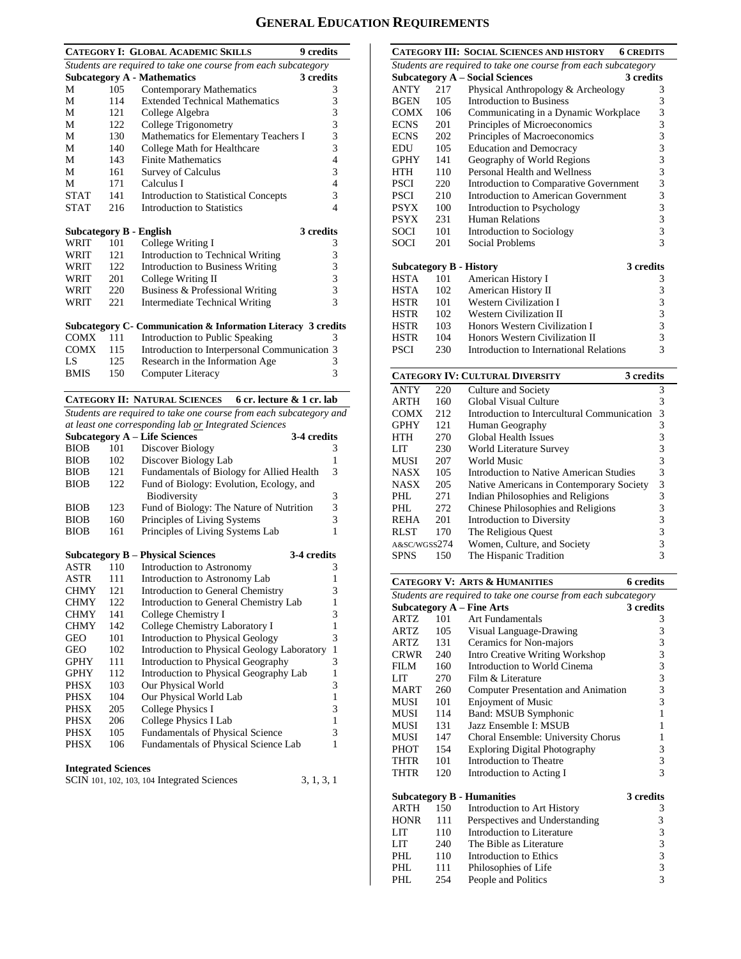# **GENERAL EDUCATION REQUIREMENTS**

|                                                                |                            | <b>CATEGORY I: GLOBAL ACADEMIC SKILLS</b><br>9 credits                            |        |  |  |  |
|----------------------------------------------------------------|----------------------------|-----------------------------------------------------------------------------------|--------|--|--|--|
| Students are required to take one course from each subcategory |                            |                                                                                   |        |  |  |  |
|                                                                |                            | <b>Subcategory A - Mathematics</b><br>3 credits                                   |        |  |  |  |
| М                                                              | 105                        | Contemporary Mathematics                                                          | 3      |  |  |  |
| М                                                              | 114                        | <b>Extended Technical Mathematics</b>                                             | 3      |  |  |  |
| М                                                              | 121                        | College Algebra                                                                   | 3      |  |  |  |
| М                                                              | 122                        | College Trigonometry                                                              | 3      |  |  |  |
| М                                                              | 130                        | Mathematics for Elementary Teachers I                                             | 3      |  |  |  |
| М                                                              | 140                        | College Math for Healthcare                                                       | 3      |  |  |  |
| М                                                              | 143                        | <b>Finite Mathematics</b>                                                         | 4      |  |  |  |
| М                                                              | 161                        | <b>Survey of Calculus</b>                                                         | 3      |  |  |  |
| М                                                              | 171                        | Calculus I                                                                        | 4      |  |  |  |
| <b>STAT</b>                                                    | 141                        | <b>Introduction to Statistical Concepts</b>                                       | 3      |  |  |  |
| <b>STAT</b>                                                    | 216                        | Introduction to Statistics                                                        | 4      |  |  |  |
|                                                                |                            | 3 credits                                                                         |        |  |  |  |
| <b>Subcategory B - English</b>                                 | 101                        |                                                                                   |        |  |  |  |
| WRIT                                                           | 121                        | College Writing I                                                                 | 3<br>3 |  |  |  |
| WRIT                                                           | 122                        | Introduction to Technical Writing                                                 | 3      |  |  |  |
| WRIT<br>WRIT                                                   |                            | Introduction to Business Writing                                                  | 3      |  |  |  |
| WRIT                                                           | 201<br>220                 | College Writing II<br>Business & Professional Writing                             | 3      |  |  |  |
|                                                                | 221                        | <b>Intermediate Technical Writing</b>                                             | 3      |  |  |  |
| WRIT                                                           |                            |                                                                                   |        |  |  |  |
|                                                                |                            | Subcategory C - Communication & Information Literacy 3 credits                    |        |  |  |  |
| COMX                                                           | 111                        | Introduction to Public Speaking                                                   | 3      |  |  |  |
| <b>COMX</b>                                                    | 115                        | Introduction to Interpersonal Communication 3                                     |        |  |  |  |
| LS                                                             | 125                        | Research in the Information Age                                                   | 3      |  |  |  |
| <b>BMIS</b>                                                    | 150                        | Computer Literacy                                                                 | 3      |  |  |  |
|                                                                |                            |                                                                                   |        |  |  |  |
|                                                                |                            | <b>CATEGORY II: NATURAL SCIENCES</b><br>6 cr. lecture & 1 cr. lab                 |        |  |  |  |
|                                                                |                            | Students are required to take one course from each subcategory and                |        |  |  |  |
|                                                                |                            | at least one corresponding lab or Integrated Sciences                             |        |  |  |  |
|                                                                |                            | <b>Subcategory A - Life Sciences</b><br>3-4 credits                               |        |  |  |  |
| <b>BIOB</b>                                                    | 101                        | Discover Biology                                                                  | 3      |  |  |  |
| <b>BIOB</b>                                                    | 102                        | Discover Biology Lab                                                              | 1      |  |  |  |
| <b>BIOB</b>                                                    | 121                        | Fundamentals of Biology for Allied Health                                         | 3      |  |  |  |
| <b>BIOB</b>                                                    | 122                        | Fund of Biology: Evolution, Ecology, and                                          |        |  |  |  |
|                                                                |                            | Biodiversity                                                                      | 3      |  |  |  |
| <b>BIOB</b>                                                    | 123                        | Fund of Biology: The Nature of Nutrition                                          | 3      |  |  |  |
| <b>BIOB</b>                                                    | 160                        | Principles of Living Systems                                                      | 3      |  |  |  |
| <b>BIOB</b>                                                    | 161                        | Principles of Living Systems Lab                                                  | 1      |  |  |  |
|                                                                |                            |                                                                                   |        |  |  |  |
|                                                                | 110                        | <b>Subcategory B – Physical Sciences</b><br>3-4 credits                           |        |  |  |  |
| ASTR                                                           |                            | Introduction to Astronomy                                                         | 3      |  |  |  |
| <b>ASTR</b>                                                    | 111                        | Introduction to Astronomy Lab                                                     | 1      |  |  |  |
| <b>CHMY</b>                                                    | 121<br>122                 | Introduction to General Chemistry                                                 | 3<br>1 |  |  |  |
| <b>CHMY</b>                                                    |                            | Introduction to General Chemistry Lab<br>College Chemistry I                      |        |  |  |  |
| <b>CHMY</b>                                                    | 141                        | College Chemistry Laboratory I                                                    | 3<br>1 |  |  |  |
| <b>CHMY</b><br>GEO                                             | 142<br>101                 | Introduction to Physical Geology                                                  | 3      |  |  |  |
|                                                                |                            |                                                                                   | 1      |  |  |  |
| GEO<br>GPHY                                                    | 102<br>111                 | Introduction to Physical Geology Laboratory<br>Introduction to Physical Geography | 3      |  |  |  |
| <b>GPHY</b>                                                    | 112                        | Introduction to Physical Geography Lab                                            | 1      |  |  |  |
| PHSX                                                           | 103                        | Our Physical World                                                                | 3      |  |  |  |
| PHSX                                                           | 104                        | Our Physical World Lab                                                            | 1      |  |  |  |
| PHSX                                                           | 205                        | College Physics I                                                                 | 3      |  |  |  |
| PHSX                                                           | 206                        | College Physics I Lab                                                             | 1      |  |  |  |
| <b>PHSX</b>                                                    | 105                        | Fundamentals of Physical Science                                                  | 3      |  |  |  |
| PHSX                                                           | 106                        | Fundamentals of Physical Science Lab                                              | 1      |  |  |  |
|                                                                |                            |                                                                                   |        |  |  |  |
|                                                                | <b>Integrated Sciences</b> |                                                                                   |        |  |  |  |

| SCIN 101, 102, 103, 104 Integrated Sciences | 3, 1, 3, 1 |
|---------------------------------------------|------------|
|---------------------------------------------|------------|

|                                |      | CATEGORY III: SOCIAL SCIENCES AND HISTORY<br><b>6 CREDITS</b>  |                                                      |
|--------------------------------|------|----------------------------------------------------------------|------------------------------------------------------|
|                                |      | Students are required to take one course from each subcategory |                                                      |
|                                |      | <b>Subcategory A - Social Sciences</b><br>3 credits            |                                                      |
| <b>ANTY</b>                    | 2.17 | Physical Anthropology & Archeology                             | 3                                                    |
| <b>BGEN</b>                    | 105  | Introduction to Business                                       | 3                                                    |
| <b>COMX</b>                    | 106  | Communicating in a Dynamic Workplace                           | 3                                                    |
| <b>ECNS</b>                    | 201  | Principles of Microeconomics                                   | $\overline{3}$                                       |
| <b>ECNS</b>                    | 202  | Principles of Macroeconomics                                   |                                                      |
| <b>EDU</b>                     | 105  | <b>Education and Democracy</b>                                 |                                                      |
| <b>GPHY</b>                    | 141  | Geography of World Regions                                     | $\begin{array}{c} 3 \\ 3 \\ 3 \end{array}$           |
| <b>HTH</b>                     | 110  | Personal Health and Wellness                                   | $\begin{array}{c} 3 \\ 3 \\ 3 \\ 3 \\ 3 \end{array}$ |
| PSCI                           | 220  | Introduction to Comparative Government                         |                                                      |
| <b>PSCI</b>                    | 210  | Introduction to American Government                            |                                                      |
| <b>PSYX</b>                    | 100  | Introduction to Psychology                                     |                                                      |
| <b>PSYX</b>                    | 231  | Human Relations                                                |                                                      |
| SOCI                           | 101  | Introduction to Sociology                                      |                                                      |
| SOCI                           | 201  | Social Problems                                                | 3                                                    |
|                                |      |                                                                |                                                      |
| <b>Subcategory B - History</b> |      | 3 credits                                                      |                                                      |
| <b>HSTA</b>                    | 101  | American History I                                             | 3                                                    |
| HSTA                           | 102  | American History II                                            | 3                                                    |
| <b>HSTR</b>                    | 101  | <b>Western Civilization I</b>                                  | 3                                                    |
| <b>HSTR</b>                    | 102  | <b>Western Civilization II</b>                                 | $\overline{\mathbf{3}}$                              |
| <b>HSTR</b>                    | 103  | Honors Western Civilization I                                  | $\frac{3}{3}$                                        |
| <b>HSTR</b>                    | 104  | Honors Western Civilization II                                 |                                                      |
| <b>PSCI</b>                    | 230  | Introduction to International Relations                        | 3                                                    |
|                                |      |                                                                |                                                      |

| <b>CATEGORY IV: CULTURAL DIVERSITY</b><br>3 credits |     |                                             |   |  |  |  |
|-----------------------------------------------------|-----|---------------------------------------------|---|--|--|--|
| ANTY                                                | 220 | Culture and Society                         | 3 |  |  |  |
| ARTH                                                | 160 | Global Visual Culture                       | 3 |  |  |  |
| COMX                                                | 212 | Introduction to Intercultural Communication | 3 |  |  |  |
| GPHY                                                | 121 | Human Geography                             | 3 |  |  |  |
| HTH                                                 | 270 | <b>Global Health Issues</b>                 | 3 |  |  |  |
| LIT                                                 | 230 | World Literature Survey                     | 3 |  |  |  |
| MUSI                                                | 207 | World Music                                 | 3 |  |  |  |
| NASX                                                | 105 | Introduction to Native American Studies     | 3 |  |  |  |
| NASX                                                | 205 | Native Americans in Contemporary Society    | 3 |  |  |  |
| PHL.                                                | 271 | Indian Philosophies and Religions           | 3 |  |  |  |
| PHL.                                                | 272 | Chinese Philosophies and Religions          | 3 |  |  |  |
| REHA                                                | 201 | Introduction to Diversity                   | 3 |  |  |  |
| RLST                                                | 170 | The Religious Quest                         | 3 |  |  |  |
| A&SC/WGSS274                                        |     | Women, Culture, and Society                 | 3 |  |  |  |
| SPNS                                                | 150 | The Hispanic Tradition                      | 3 |  |  |  |

|             |     | <b>CATEGORY V: ARTS &amp; HUMANITIES</b>                       | <b>6</b> credits |
|-------------|-----|----------------------------------------------------------------|------------------|
|             |     | Students are required to take one course from each subcategory |                  |
|             |     | <b>Subcategory A - Fine Arts</b>                               | 3 credits        |
| <b>ARTZ</b> | 101 | Art Fundamentals                                               | 3                |
| ARTZ        | 105 | Visual Language-Drawing                                        | 3                |
| ARTZ        | 131 | Ceramics for Non-majors                                        | 3                |
| CRWR        | 240 | <b>Intro Creative Writing Workshop</b>                         | 3                |
| FILM        | 160 | Introduction to World Cinema                                   | 3                |
| LIT         | 270 | Film & Literature                                              | 3                |
| MART        | 260 | Computer Presentation and Animation                            | 3                |
| <b>MUSI</b> | 101 | <b>Enjoyment of Music</b>                                      | 3                |
| MUSI        | 114 | Band: MSUB Symphonic                                           | 1                |
| MUSI        | 131 | Jazz Ensemble I: MSUB                                          | 1                |
| MUSI        | 147 | Choral Ensemble: University Chorus                             | 1                |
| PHOT        | 154 | <b>Exploring Digital Photography</b>                           | 3                |
| THTR        | 101 | Introduction to Theatre                                        | 3                |
| THTR        | 120 | Introduction to Acting I                                       | 3                |
|             |     | <b>Subcategory B - Humanities</b>                              | 3 credits        |
| <b>ARTH</b> | 150 | Introduction to Art History                                    | 3                |
| <b>HONR</b> | 111 | Perspectives and Understanding                                 | 3                |
| LIT         | 110 | Introduction to Literature                                     | 3                |
| LIT         | 240 | The Bible as Literature                                        | 3                |
| PHL.        | 110 | Introduction to Ethics                                         | 3                |
| PHI.        | 111 | Philosophies of Life                                           | 3                |
| PHL         | 254 | People and Politics                                            | 3                |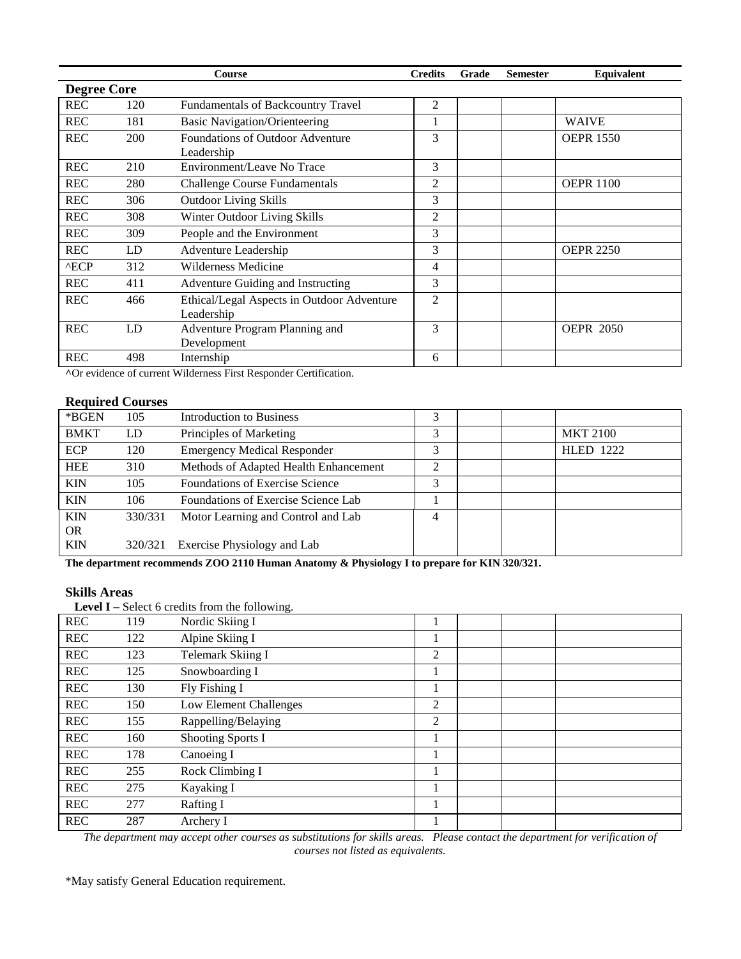|                    |     | Course                                                   | <b>Credits</b> | Grade | <b>Semester</b> | Equivalent       |
|--------------------|-----|----------------------------------------------------------|----------------|-------|-----------------|------------------|
| <b>Degree Core</b> |     |                                                          |                |       |                 |                  |
| <b>REC</b>         | 120 | Fundamentals of Backcountry Travel                       | 2              |       |                 |                  |
| <b>REC</b>         | 181 | <b>Basic Navigation/Orienteering</b>                     |                |       |                 | <b>WAIVE</b>     |
| <b>REC</b>         | 200 | Foundations of Outdoor Adventure<br>Leadership           | 3              |       |                 | <b>OEPR 1550</b> |
| <b>REC</b>         | 210 | Environment/Leave No Trace                               | 3              |       |                 |                  |
| <b>REC</b>         | 280 | <b>Challenge Course Fundamentals</b>                     | 2              |       |                 | <b>OEPR 1100</b> |
| <b>REC</b>         | 306 | <b>Outdoor Living Skills</b>                             | 3              |       |                 |                  |
| <b>REC</b>         | 308 | Winter Outdoor Living Skills                             | 2              |       |                 |                  |
| <b>REC</b>         | 309 | People and the Environment                               | 3              |       |                 |                  |
| <b>REC</b>         | LD  | Adventure Leadership                                     | 3              |       |                 | <b>OEPR 2250</b> |
| $^{\wedge}$ ECP    | 312 | Wilderness Medicine                                      | 4              |       |                 |                  |
| <b>REC</b>         | 411 | Adventure Guiding and Instructing                        | 3              |       |                 |                  |
| <b>REC</b>         | 466 | Ethical/Legal Aspects in Outdoor Adventure<br>Leadership | $\overline{2}$ |       |                 |                  |
| <b>REC</b>         | LD  | Adventure Program Planning and<br>Development            | 3              |       |                 | <b>OEPR 2050</b> |
| <b>REC</b>         | 498 | Internship                                               | 6              |       |                 |                  |

**^**Or evidence of current Wilderness First Responder Certification.

## **Required Courses**

| *BGEN       | 105     | Introduction to Business               |   |  |                  |
|-------------|---------|----------------------------------------|---|--|------------------|
| <b>BMKT</b> | LD      | Principles of Marketing                | 3 |  | <b>MKT 2100</b>  |
| <b>ECP</b>  | 120     | <b>Emergency Medical Responder</b>     |   |  | <b>HLED 1222</b> |
| <b>HEE</b>  | 310     | Methods of Adapted Health Enhancement  | ↑ |  |                  |
| <b>KIN</b>  | 105     | <b>Foundations of Exercise Science</b> | 3 |  |                  |
| <b>KIN</b>  | 106     | Foundations of Exercise Science Lab    |   |  |                  |
| <b>KIN</b>  | 330/331 | Motor Learning and Control and Lab     | 4 |  |                  |
| <b>OR</b>   |         |                                        |   |  |                  |
| <b>KIN</b>  | 320/321 | Exercise Physiology and Lab            |   |  |                  |

**The department recommends ZOO 2110 Human Anatomy & Physiology I to prepare for KIN 320/321.** 

## **Skills Areas**

 **Level I –** Select 6 credits from the following.

| <b>REC</b> | 119 | Nordic Skiing I          |   |  |  |
|------------|-----|--------------------------|---|--|--|
| <b>REC</b> | 122 | Alpine Skiing I          |   |  |  |
| <b>REC</b> | 123 | <b>Telemark Skiing I</b> | 2 |  |  |
| <b>REC</b> | 125 | Snowboarding I           |   |  |  |
| <b>REC</b> | 130 | Fly Fishing I            |   |  |  |
| <b>REC</b> | 150 | Low Element Challenges   | 2 |  |  |
| <b>REC</b> | 155 | Rappelling/Belaying      | 2 |  |  |
| <b>REC</b> | 160 | Shooting Sports I        |   |  |  |
| <b>REC</b> | 178 | Canoeing I               |   |  |  |
| <b>REC</b> | 255 | Rock Climbing I          |   |  |  |
| <b>REC</b> | 275 | Kayaking I               |   |  |  |
| <b>REC</b> | 277 | <b>Rafting I</b>         |   |  |  |
| <b>REC</b> | 287 | Archery I                |   |  |  |

*The department may accept other courses as substitutions for skills areas. Please contact the department for verification of courses not listed as equivalents.*

\*May satisfy General Education requirement.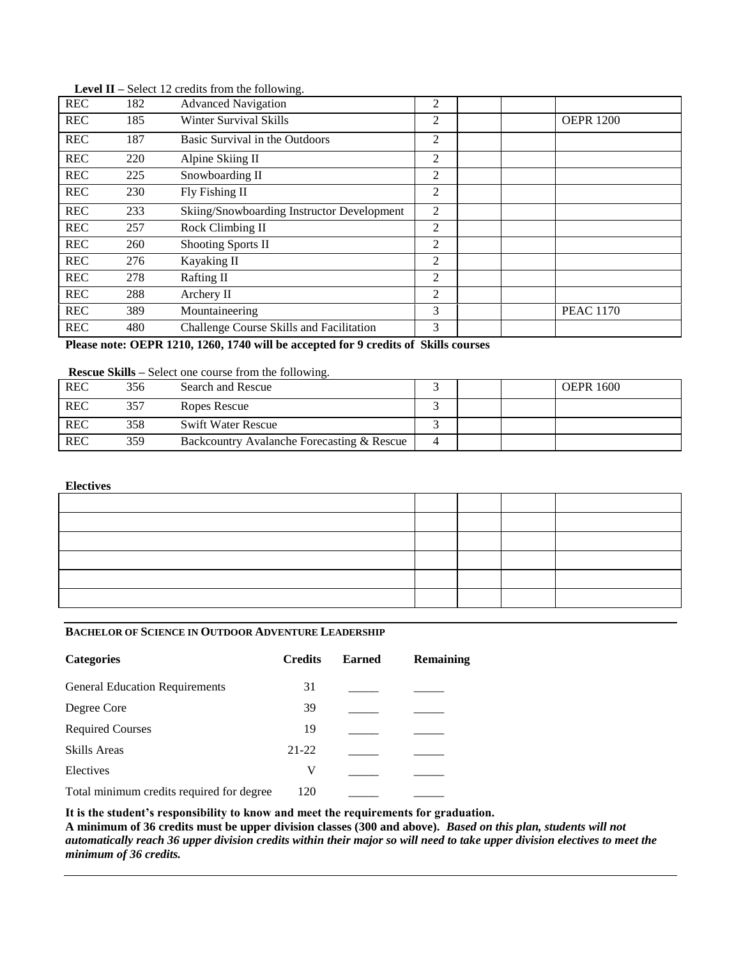| <b>REC</b> | 182 | <b>Advanced Navigation</b>                 | $\overline{2}$ |                  |
|------------|-----|--------------------------------------------|----------------|------------------|
| <b>REC</b> | 185 | Winter Survival Skills                     | $\overline{2}$ | <b>OEPR 1200</b> |
| <b>REC</b> | 187 | Basic Survival in the Outdoors             | $\overline{2}$ |                  |
| <b>REC</b> | 220 | Alpine Skiing II                           | 2              |                  |
| <b>REC</b> | 225 | Snowboarding II                            | 2              |                  |
| <b>REC</b> | 230 | Fly Fishing II                             | 2              |                  |
| <b>REC</b> | 233 | Skiing/Snowboarding Instructor Development | 2              |                  |
| <b>REC</b> | 257 | Rock Climbing II                           | 2              |                  |
| <b>REC</b> | 260 | <b>Shooting Sports II</b>                  | 2              |                  |
| <b>REC</b> | 276 | Kayaking II                                | 2              |                  |
| <b>REC</b> | 278 | <b>Rafting II</b>                          | 2              |                  |
| <b>REC</b> | 288 | Archery II                                 | $\overline{2}$ |                  |
| <b>REC</b> | 389 | Mountaineering                             | 3              | <b>PEAC 1170</b> |
| <b>REC</b> | 480 | Challenge Course Skills and Facilitation   | 3              |                  |

 **Level II –** Select 12 credits from the following.

**Please note: OEPR 1210, 1260, 1740 will be accepted for 9 credits of Skills courses**

#### **Rescue Skills –** Select one course from the following.

| <b>REC</b> | 356 | Search and Rescue                          |  | <b>OEPR 1600</b> |
|------------|-----|--------------------------------------------|--|------------------|
| <b>REC</b> | 357 | Ropes Rescue                               |  |                  |
| <b>REC</b> | 358 | <b>Swift Water Rescue</b>                  |  |                  |
| <b>REC</b> | 359 | Backcountry Avalanche Forecasting & Rescue |  |                  |

#### **Electives**

### **BACHELOR OF SCIENCE IN OUTDOOR ADVENTURE LEADERSHIP**

| <b>Credits</b> | <b>Earned</b> | Remaining |
|----------------|---------------|-----------|
| 31             |               |           |
| 39             |               |           |
| 19             |               |           |
| $21 - 22$      |               |           |
| V              |               |           |
| 120            |               |           |
|                |               |           |

**It is the student's responsibility to know and meet the requirements for graduation.**

**A minimum of 36 credits must be upper division classes (300 and above).** *Based on this plan, students will not automatically reach 36 upper division credits within their major so will need to take upper division electives to meet the minimum of 36 credits.*